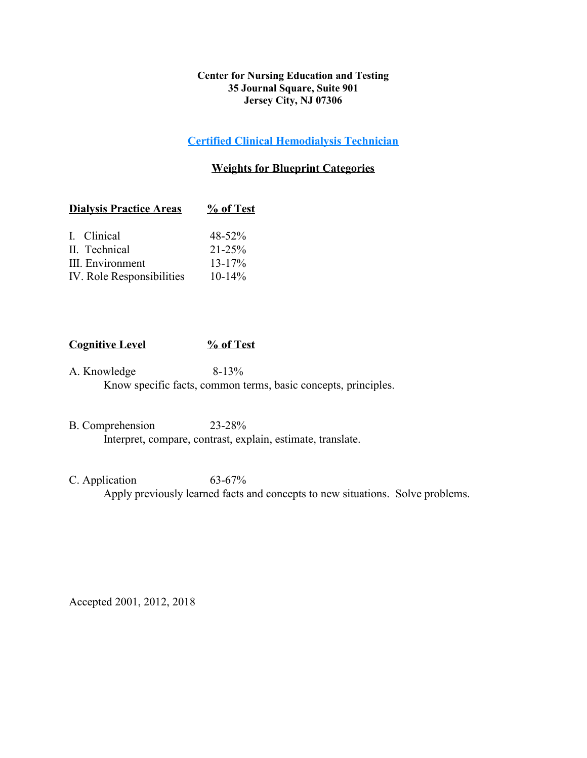#### **Center for Nursing Education and Testing 35 Journal Square, Suite 901 Jersey City, NJ 07306**

### **Certified Clinical Hemodialysis Technician**

### **Weights for Blueprint Categories**

| $\%$ of Test                                                                                                    |  |
|-----------------------------------------------------------------------------------------------------------------|--|
| $48 - 52%$                                                                                                      |  |
| $21 - 25%$                                                                                                      |  |
| $13 - 17\%$                                                                                                     |  |
| $10 - 14\%$                                                                                                     |  |
| <b>Dialysis Practice Areas</b><br>I. Clinical<br>II. Technical<br>III. Environment<br>IV. Role Responsibilities |  |

## **Cognitive Level % of Test**

A. Knowledge 8-13% Know specific facts, common terms, basic concepts, principles.

- B. Comprehension 23-28% Interpret, compare, contrast, explain, estimate, translate.
- C. Application 63-67% Apply previously learned facts and concepts to new situations. Solve problems.

Accepted 2001, 2012, 2018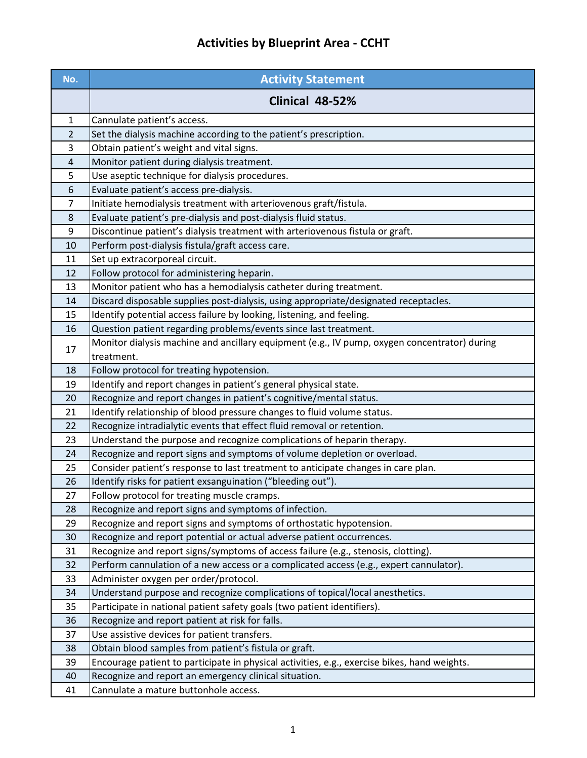# **Activities by Blueprint Area - CCHT**

| No.            | <b>Activity Statement</b>                                                                                  |
|----------------|------------------------------------------------------------------------------------------------------------|
|                | Clinical 48-52%                                                                                            |
| $\mathbf{1}$   | Cannulate patient's access.                                                                                |
| $\overline{2}$ | Set the dialysis machine according to the patient's prescription.                                          |
| 3              | Obtain patient's weight and vital signs.                                                                   |
| 4              | Monitor patient during dialysis treatment.                                                                 |
| 5              | Use aseptic technique for dialysis procedures.                                                             |
| 6              | Evaluate patient's access pre-dialysis.                                                                    |
| $\overline{7}$ | Initiate hemodialysis treatment with arteriovenous graft/fistula.                                          |
| 8              | Evaluate patient's pre-dialysis and post-dialysis fluid status.                                            |
| 9              | Discontinue patient's dialysis treatment with arteriovenous fistula or graft.                              |
| 10             | Perform post-dialysis fistula/graft access care.                                                           |
| 11             | Set up extracorporeal circuit.                                                                             |
| 12             | Follow protocol for administering heparin.                                                                 |
| 13             | Monitor patient who has a hemodialysis catheter during treatment.                                          |
| 14             | Discard disposable supplies post-dialysis, using appropriate/designated receptacles.                       |
| 15             | Identify potential access failure by looking, listening, and feeling.                                      |
| 16             | Question patient regarding problems/events since last treatment.                                           |
| 17             | Monitor dialysis machine and ancillary equipment (e.g., IV pump, oxygen concentrator) during<br>treatment. |
| 18             | Follow protocol for treating hypotension.                                                                  |
| 19             | Identify and report changes in patient's general physical state.                                           |
| 20             | Recognize and report changes in patient's cognitive/mental status.                                         |
| 21             | Identify relationship of blood pressure changes to fluid volume status.                                    |
| 22             | Recognize intradialytic events that effect fluid removal or retention.                                     |
| 23             | Understand the purpose and recognize complications of heparin therapy.                                     |
| 24             | Recognize and report signs and symptoms of volume depletion or overload.                                   |
| 25             | Consider patient's response to last treatment to anticipate changes in care plan.                          |
| 26             | Identify risks for patient exsanguination ("bleeding out").                                                |
| 27             | Follow protocol for treating muscle cramps.                                                                |
| 28             | Recognize and report signs and symptoms of infection.                                                      |
| 29             | Recognize and report signs and symptoms of orthostatic hypotension.                                        |
| 30             | Recognize and report potential or actual adverse patient occurrences.                                      |
| 31             | Recognize and report signs/symptoms of access failure (e.g., stenosis, clotting).                          |
| 32             | Perform cannulation of a new access or a complicated access (e.g., expert cannulator).                     |
| 33             | Administer oxygen per order/protocol.                                                                      |
| 34             | Understand purpose and recognize complications of topical/local anesthetics.                               |
| 35             | Participate in national patient safety goals (two patient identifiers).                                    |
| 36             | Recognize and report patient at risk for falls.                                                            |
| 37             | Use assistive devices for patient transfers.                                                               |
| 38             | Obtain blood samples from patient's fistula or graft.                                                      |
| 39             | Encourage patient to participate in physical activities, e.g., exercise bikes, hand weights.               |
| 40             | Recognize and report an emergency clinical situation.                                                      |
| 41             | Cannulate a mature buttonhole access.                                                                      |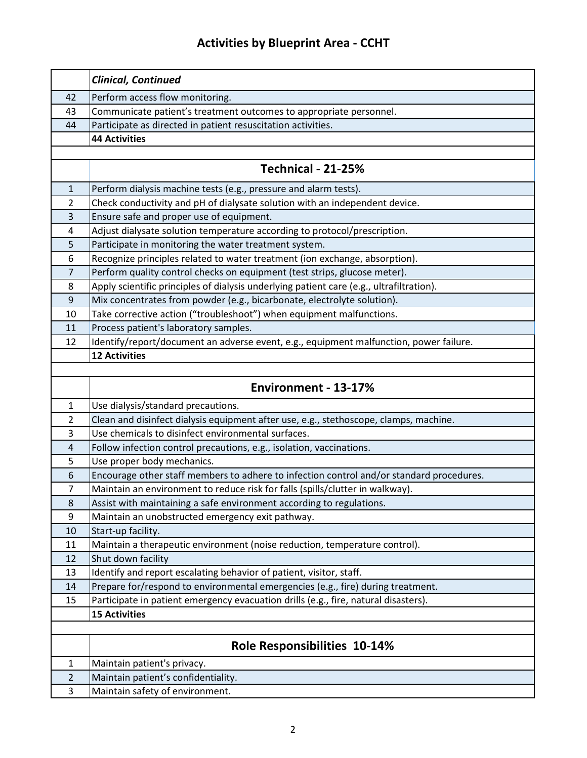# **Activities by Blueprint Area - CCHT**

|                | Clinical, Continued                                                                      |  |
|----------------|------------------------------------------------------------------------------------------|--|
| 42             | Perform access flow monitoring.                                                          |  |
| 43             | Communicate patient's treatment outcomes to appropriate personnel.                       |  |
| 44             | Participate as directed in patient resuscitation activities.                             |  |
|                | <b>44 Activities</b>                                                                     |  |
|                |                                                                                          |  |
|                | <b>Technical - 21-25%</b>                                                                |  |
| $\mathbf{1}$   | Perform dialysis machine tests (e.g., pressure and alarm tests).                         |  |
| $\overline{2}$ | Check conductivity and pH of dialysate solution with an independent device.              |  |
| 3              | Ensure safe and proper use of equipment.                                                 |  |
| 4              | Adjust dialysate solution temperature according to protocol/prescription.                |  |
| 5              | Participate in monitoring the water treatment system.                                    |  |
| 6              | Recognize principles related to water treatment (ion exchange, absorption).              |  |
| $\overline{7}$ | Perform quality control checks on equipment (test strips, glucose meter).                |  |
| 8              | Apply scientific principles of dialysis underlying patient care (e.g., ultrafiltration). |  |
| $9\,$          | Mix concentrates from powder (e.g., bicarbonate, electrolyte solution).                  |  |
| 10             | Take corrective action ("troubleshoot") when equipment malfunctions.                     |  |
| 11             | Process patient's laboratory samples.                                                    |  |
| 12             | Identify/report/document an adverse event, e.g., equipment malfunction, power failure.   |  |
|                | <b>12 Activities</b>                                                                     |  |
|                |                                                                                          |  |
|                | Environment - 13-17%                                                                     |  |
| $\mathbf{1}$   | Use dialysis/standard precautions.                                                       |  |
| 2              | Clean and disinfect dialysis equipment after use, e.g., stethoscope, clamps, machine.    |  |
| 3              | Use chemicals to disinfect environmental surfaces.                                       |  |
| 4              | Follow infection control precautions, e.g., isolation, vaccinations.                     |  |
| 5              | Use proper body mechanics.                                                               |  |
| 6              | Encourage other staff members to adhere to infection control and/or standard procedures. |  |
| 7              | Maintain an environment to reduce risk for falls (spills/clutter in walkway).            |  |
| 8              | Assist with maintaining a safe environment according to regulations.                     |  |
| 9              | Maintain an unobstructed emergency exit pathway.                                         |  |
| 10             | Start-up facility.                                                                       |  |
| 11             | Maintain a therapeutic environment (noise reduction, temperature control).               |  |
| 12             | Shut down facility                                                                       |  |
| 13             | Identify and report escalating behavior of patient, visitor, staff.                      |  |
| 14             | Prepare for/respond to environmental emergencies (e.g., fire) during treatment.          |  |
| 15             | Participate in patient emergency evacuation drills (e.g., fire, natural disasters).      |  |
|                | <b>15 Activities</b>                                                                     |  |
|                |                                                                                          |  |
|                | <b>Role Responsibilities 10-14%</b>                                                      |  |
| 1              | Maintain patient's privacy.                                                              |  |
| 2              | Maintain patient's confidentiality.                                                      |  |
| 3              | Maintain safety of environment.                                                          |  |